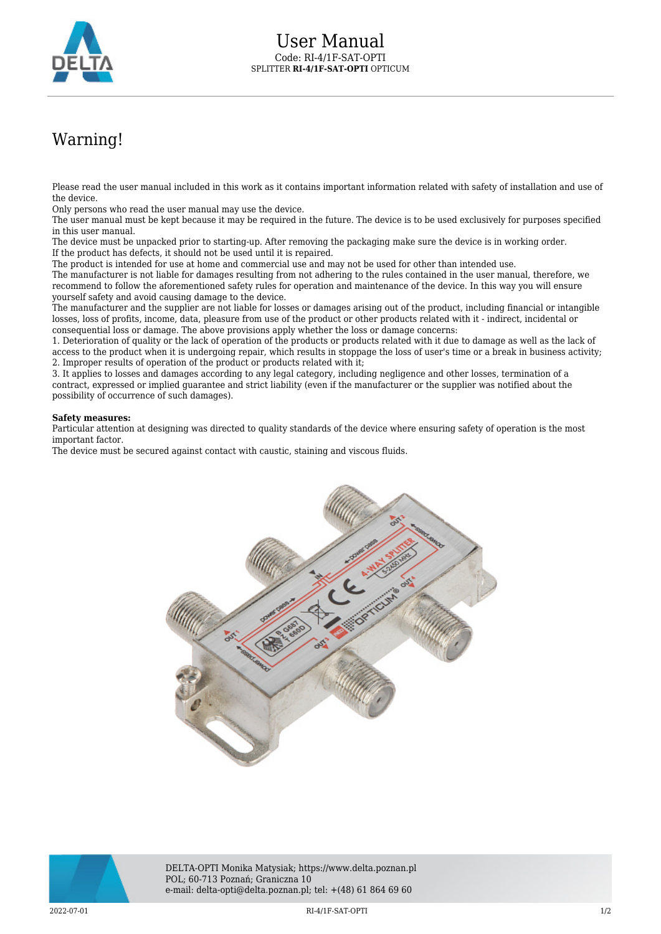

## Warning!

Please read the user manual included in this work as it contains important information related with safety of installation and use of the device.

Only persons who read the user manual may use the device.

The user manual must be kept because it may be required in the future. The device is to be used exclusively for purposes specified in this user manual.

The device must be unpacked prior to starting-up. After removing the packaging make sure the device is in working order. If the product has defects, it should not be used until it is repaired.

The product is intended for use at home and commercial use and may not be used for other than intended use.

The manufacturer is not liable for damages resulting from not adhering to the rules contained in the user manual, therefore, we recommend to follow the aforementioned safety rules for operation and maintenance of the device. In this way you will ensure yourself safety and avoid causing damage to the device.

The manufacturer and the supplier are not liable for losses or damages arising out of the product, including financial or intangible losses, loss of profits, income, data, pleasure from use of the product or other products related with it - indirect, incidental or consequential loss or damage. The above provisions apply whether the loss or damage concerns:

1. Deterioration of quality or the lack of operation of the products or products related with it due to damage as well as the lack of access to the product when it is undergoing repair, which results in stoppage the loss of user's time or a break in business activity; 2. Improper results of operation of the product or products related with it;

3. It applies to losses and damages according to any legal category, including negligence and other losses, termination of a contract, expressed or implied guarantee and strict liability (even if the manufacturer or the supplier was notified about the possibility of occurrence of such damages).

## **Safety measures:**

Particular attention at designing was directed to quality standards of the device where ensuring safety of operation is the most important factor.

The device must be secured against contact with caustic, staining and viscous fluids.